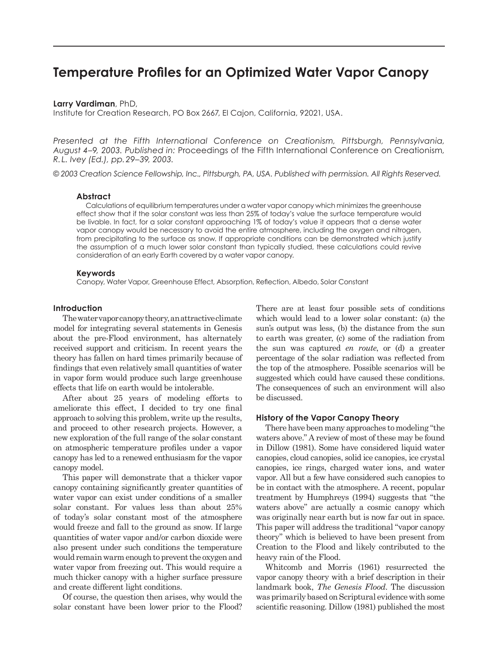# **Temperature Profiles for an Optimized Water Vapor Canopy**

**Larry Vardiman**, PhD,

Institute for Creation Research, PO Box 2667, El Cajon, California, 92021, USA.

*Presented at the Fifth International Conference on Creationism, Pittsburgh, Pennsylvania, August 4–9, 2003. Published in:* Proceedings of the Fifth International Conference on Creationism*, R. L. Ivey (Ed.), pp. 29–39, 2003.*

*© 2003 Creation Science Fellowship, Inc., Pittsburgh, PA, USA. Published with permission. All Rights Reserved.*

## **Abstract**

Calculations of equilibrium temperatures under a water vapor canopy which minimizes the greenhouse effect show that if the solar constant was less than 25% of today's value the surface temperature would be livable. In fact, for a solar constant approaching 1% of today's value it appears that a dense water vapor canopy would be necessary to avoid the entire atmosphere, including the oxygen and nitrogen, from precipitating to the surface as snow. If appropriate conditions can be demonstrated which justify the assumption of a much lower solar constant than typically studied, these calculations could revive consideration of an early Earth covered by a water vapor canopy.

## **Keywords**

Canopy, Water Vapor, Greenhouse Effect, Absorption, Reflection, Albedo, Solar Constant

#### **Introduction**

The water vapor canopy theory, an attractive climate model for integrating several statements in Genesis about the pre-Flood environment, has alternately received support and criticism. In recent years the theory has fallen on hard times primarily because of findings that even relatively small quantities of water in vapor form would produce such large greenhouse effects that life on earth would be intolerable.

After about 25 years of modeling efforts to ameliorate this effect, I decided to try one final approach to solving this problem, write up the results, and proceed to other research projects. However, a new exploration of the full range of the solar constant on atmospheric temperature profiles under a vapor canopy has led to a renewed enthusiasm for the vapor canopy model.

This paper will demonstrate that a thicker vapor canopy containing significantly greater quantities of water vapor can exist under conditions of a smaller solar constant. For values less than about 25% of today's solar constant most of the atmosphere would freeze and fall to the ground as snow. If large quantities of water vapor and/or carbon dioxide were also present under such conditions the temperature would remain warm enough to prevent the oxygen and water vapor from freezing out. This would require a much thicker canopy with a higher surface pressure and create different light conditions.

Of course, the question then arises, why would the solar constant have been lower prior to the Flood?

There are at least four possible sets of conditions which would lead to a lower solar constant: (a) the sun's output was less, (b) the distance from the sun to earth was greater, (c) some of the radiation from the sun was captured *en route*, or (d) a greater percentage of the solar radiation was reflected from the top of the atmosphere. Possible scenarios will be suggested which could have caused these conditions. The consequences of such an environment will also be discussed.

# **History of the Vapor Canopy Theory**

There have been many approaches to modeling "the waters above." A review of most of these may be found in Dillow (1981). Some have considered liquid water canopies, cloud canopies, solid ice canopies, ice crystal canopies, ice rings, charged water ions, and water vapor. All but a few have considered such canopies to be in contact with the atmosphere. A recent, popular treatment by Humphreys (1994) suggests that "the waters above" are actually a cosmic canopy which was originally near earth but is now far out in space. This paper will address the traditional "vapor canopy theory" which is believed to have been present from Creation to the Flood and likely contributed to the heavy rain of the Flood.

Whitcomb and Morris (1961) resurrected the vapor canopy theory with a brief description in their landmark book, *The Genesis Flood*. The discussion was primarily based on Scriptural evidence with some scientific reasoning. Dillow (1981) published the most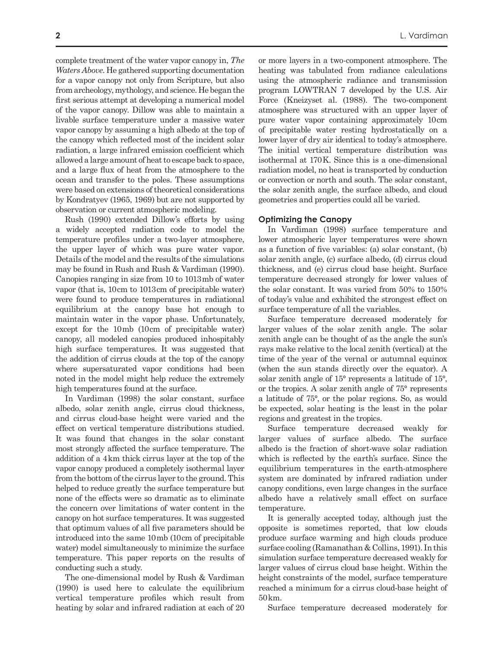complete treatment of the water vapor canopy in, *The Waters Above*. He gathered supporting documentation for a vapor canopy not only from Scripture, but also from archeology, mythology, and science. He began the first serious attempt at developing a numerical model of the vapor canopy. Dillow was able to maintain a livable surface temperature under a massive water vapor canopy by assuming a high albedo at the top of the canopy which reflected most of the incident solar radiation, a large infrared emission coefficient which allowed a large amount of heat to escape back to space, and a large flux of heat from the atmosphere to the ocean and transfer to the poles. These assumptions were based on extensions of theoretical considerations by Kondratyev (1965, 1969) but are not supported by observation or current atmospheric modeling.

Rush (1990) extended Dillow's efforts by using a widely accepted radiation code to model the temperature profiles under a two-layer atmosphere, the upper layer of which was pure water vapor. Details of the model and the results of the simulations may be found in Rush and Rush & Vardiman (1990). Canopies ranging in size from 10 to 1013 mb of water vapor (that is, 10 cm to 1013 cm of precipitable water) were found to produce temperatures in radiational equilibrium at the canopy base hot enough to maintain water in the vapor phase. Unfortunately, except for the 10 mb (10 cm of precipitable water) canopy, all modeled canopies produced inhospitably high surface temperatures. It was suggested that the addition of cirrus clouds at the top of the canopy where supersaturated vapor conditions had been noted in the model might help reduce the extremely high temperatures found at the surface.

In Vardiman (1998) the solar constant, surface albedo, solar zenith angle, cirrus cloud thickness, and cirrus cloud-base height were varied and the effect on vertical temperature distributions studied. It was found that changes in the solar constant most strongly affected the surface temperature. The addition of a 4 km thick cirrus layer at the top of the vapor canopy produced a completely isothermal layer from the bottom of the cirrus layer to the ground. This helped to reduce greatly the surface temperature but none of the effects were so dramatic as to eliminate the concern over limitations of water content in the canopy on hot surface temperatures. It was suggested that optimum values of all five parameters should be introduced into the same 10 mb (10 cm of precipitable water) model simultaneously to minimize the surface temperature. This paper reports on the results of conducting such a study.

The one-dimensional model by Rush & Vardiman (1990) is used here to calculate the equilibrium vertical temperature profiles which result from heating by solar and infrared radiation at each of 20 heating was tabulated from radiance calculations using the atmospheric radiance and transmission program LOWTRAN 7 developed by the U.S. Air Force (Kneizyset al. (1988). The two-component atmosphere was structured with an upper layer of pure water vapor containing approximately 10 cm of precipitable water resting hydrostatically on a lower layer of dry air identical to today's atmosphere. The initial vertical temperature distribution was isothermal at 170 K. Since this is a one-dimensional radiation model, no heat is transported by conduction or convection or north and south. The solar constant, the solar zenith angle, the surface albedo, and cloud geometries and properties could all be varied.

# **Optimizing the Canopy**

In Vardiman (1998) surface temperature and lower atmospheric layer temperatures were shown as a function of five variables: (a) solar constant, (b) solar zenith angle, (c) surface albedo, (d) cirrus cloud thickness, and (e) cirrus cloud base height. Surface temperature decreased strongly for lower values of the solar constant. It was varied from 50% to 150% of today's value and exhibited the strongest effect on surface temperature of all the variables.

Surface temperature decreased moderately for larger values of the solar zenith angle. The solar zenith angle can be thought of as the angle the sun's rays make relative to the local zenith (vertical) at the time of the year of the vernal or autumnal equinox (when the sun stands directly over the equator). A solar zenith angle of 15° represents a latitude of 15°, or the tropics. A solar zenith angle of 75° represents a latitude of 75°, or the polar regions. So, as would be expected, solar heating is the least in the polar regions and greatest in the tropics.

Surface temperature decreased weakly for larger values of surface albedo. The surface albedo is the fraction of short-wave solar radiation which is reflected by the earth's surface. Since the equilibrium temperatures in the earth-atmosphere system are dominated by infrared radiation under canopy conditions, even large changes in the surface albedo have a relatively small effect on surface temperature.

It is generally accepted today, although just the opposite is sometimes reported, that low clouds produce surface warming and high clouds produce surface cooling (Ramanathan & Collins, 1991). In this simulation surface temperature decreased weakly for larger values of cirrus cloud base height. Within the height constraints of the model, surface temperature reached a minimum for a cirrus cloud-base height of 50 km.

Surface temperature decreased moderately for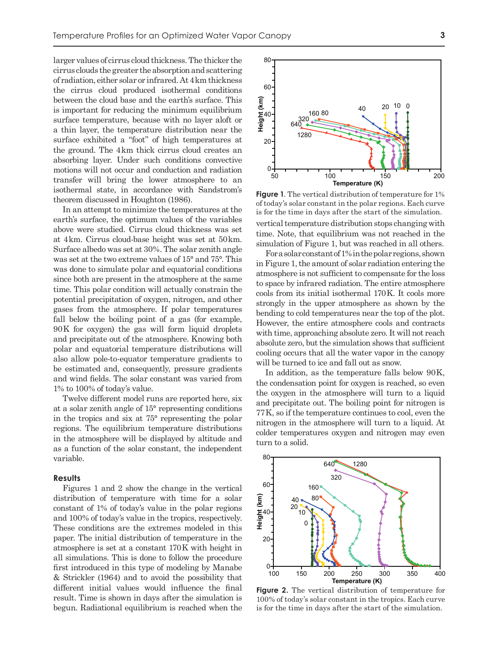larger values of cirrus cloud thickness. The thicker the cirrus clouds the greater the absorption and scattering of radiation, either solar or infrared. At 4 km thickness the cirrus cloud produced isothermal conditions between the cloud base and the earth's surface. This is important for reducing the minimum equilibrium surface temperature, because with no layer aloft or a thin layer, the temperature distribution near the surface exhibited a "foot" of high temperatures at the ground. The 4 km thick cirrus cloud creates an absorbing layer. Under such conditions convective motions will not occur and conduction and radiation transfer will bring the lower atmosphere to an isothermal state, in accordance with Sandstrom's theorem discussed in Houghton (1986).

In an attempt to minimize the temperatures at the earth's surface, the optimum values of the variables above were studied. Cirrus cloud thickness was set at 4 km. Cirrus cloud-base height was set at 50 km. Surface albedo was set at 30%. The solar zenith angle was set at the two extreme values of 15° and 75°. This was done to simulate polar and equatorial conditions since both are present in the atmosphere at the same time. This polar condition will actually constrain the potential precipitation of oxygen, nitrogen, and other gases from the atmosphere. If polar temperatures fall below the boiling point of a gas (for example, 90 K for oxygen) the gas will form liquid droplets and precipitate out of the atmosphere. Knowing both polar and equatorial temperature distributions will also allow pole-to-equator temperature gradients to be estimated and, consequently, pressure gradients and wind fields. The solar constant was varied from 1% to 100% of today's value.

Twelve different model runs are reported here, six at a solar zenith angle of 15° representing conditions in the tropics and six at 75° representing the polar regions. The equilibrium temperature distributions in the atmosphere will be displayed by altitude and as a function of the solar constant, the independent variable.

### **Results**

Figures 1 and 2 show the change in the vertical distribution of temperature with time for a solar constant of 1% of today's value in the polar regions and 100% of today's value in the tropics, respectively. These conditions are the extremes modeled in this paper. The initial distribution of temperature in the atmosphere is set at a constant 170 K with height in all simulations. This is done to follow the procedure first introduced in this type of modeling by Manabe & Strickler (1964) and to avoid the possibility that different initial values would influence the final result. Time is shown in days after the simulation is begun. Radiational equilibrium is reached when the



**Figure 1**. The vertical distribution of temperature for 1% of today's solar constant in the polar regions. Each curve is for the time in days after the start of the simulation.

vertical temperature distribution stops changing with time. Note, that equilibrium was not reached in the simulation of Figure 1, but was reached in all others.

For a solar constant of 1% in the polar regions, shown in Figure 1, the amount of solar radiation entering the atmosphere is not sufficient to compensate for the loss to space by infrared radiation. The entire atmosphere cools from its initial isothermal 170 K. It cools more strongly in the upper atmosphere as shown by the bending to cold temperatures near the top of the plot. However, the entire atmosphere cools and contracts with time, approaching absolute zero. It will not reach absolute zero, but the simulation shows that sufficient cooling occurs that all the water vapor in the canopy will be turned to ice and fall out as snow.

In addition, as the temperature falls below 90K, the condensation point for oxygen is reached, so even the oxygen in the atmosphere will turn to a liquid and precipitate out. The boiling point for nitrogen is 77 K, so if the temperature continues to cool, even the nitrogen in the atmosphere will turn to a liquid. At colder temperatures oxygen and nitrogen may even turn to a solid.



**Figure 2.** The vertical distribution of temperature for 100% of today's solar constant in the tropics. Each curve is for the time in days after the start of the simulation.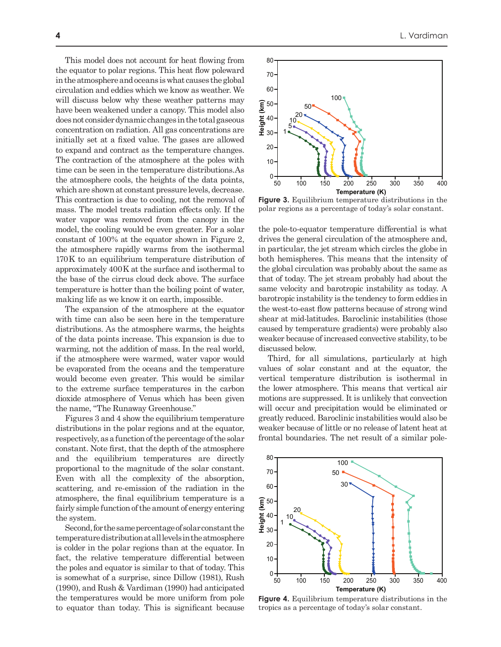This model does not account for heat flowing from the equator to polar regions. This heat flow poleward in the atmosphere and oceans is what causes the global circulation and eddies which we know as weather. We will discuss below why these weather patterns may have been weakened under a canopy. This model also does not consider dynamic changes in the total gaseous concentration on radiation. All gas concentrations are initially set at a fixed value. The gases are allowed to expand and contract as the temperature changes. The contraction of the atmosphere at the poles with time can be seen in the temperature distributions.As the atmosphere cools, the heights of the data points, which are shown at constant pressure levels, decrease. This contraction is due to cooling, not the removal of mass. The model treats radiation effects only. If the water vapor was removed from the canopy in the model, the cooling would be even greater. For a solar constant of 100% at the equator shown in Figure 2, the atmosphere rapidly warms from the isothermal 170 K to an equilibrium temperature distribution of approximately 400 K at the surface and isothermal to the base of the cirrus cloud deck above. The surface temperature is hotter than the boiling point of water, making life as we know it on earth, impossible.

The expansion of the atmosphere at the equator with time can also be seen here in the temperature distributions. As the atmosphere warms, the heights of the data points increase. This expansion is due to warming, not the addition of mass. In the real world, if the atmosphere were warmed, water vapor would be evaporated from the oceans and the temperature would become even greater. This would be similar to the extreme surface temperatures in the carbon dioxide atmosphere of Venus which has been given the name, "The Runaway Greenhouse."

Figures 3 and 4 show the equilibrium temperature distributions in the polar regions and at the equator, respectively, as a function of the percentage of the solar constant. Note first, that the depth of the atmosphere and the equilibrium temperatures are directly proportional to the magnitude of the solar constant. Even with all the complexity of the absorption, scattering, and re-emission of the radiation in the atmosphere, the final equilibrium temperature is a fairly simple function of the amount of energy entering the system.

Second, for the same percentage of solar constant the temperature distribution at all levels in the atmosphere is colder in the polar regions than at the equator. In fact, the relative temperature differential between the poles and equator is similar to that of today. This is somewhat of a surprise, since Dillow (1981), Rush (1990), and Rush & Vardiman (1990) had anticipated the temperatures would be more uniform from pole to equator than today. This is significant because



**Figure 3.** Equilibrium temperature distributions in the polar regions as a percentage of today's solar constant.

the pole-to-equator temperature differential is what drives the general circulation of the atmosphere and, in particular, the jet stream which circles the globe in both hemispheres. This means that the intensity of the global circulation was probably about the same as that of today. The jet stream probably had about the same velocity and barotropic instability as today. A barotropic instability is the tendency to form eddies in the west-to-east flow patterns because of strong wind shear at mid-latitudes. Baroclinic instabilities (those caused by temperature gradients) were probably also weaker because of increased convective stability, to be discussed below.

Third, for all simulations, particularly at high values of solar constant and at the equator, the vertical temperature distribution is isothermal in the lower atmosphere. This means that vertical air motions are suppressed. It is unlikely that convection will occur and precipitation would be eliminated or greatly reduced. Baroclinic instabilities would also be weaker because of little or no release of latent heat at frontal boundaries. The net result of a similar pole-



**Figure 4.** Equilibrium temperature distributions in the tropics as a percentage of today's solar constant.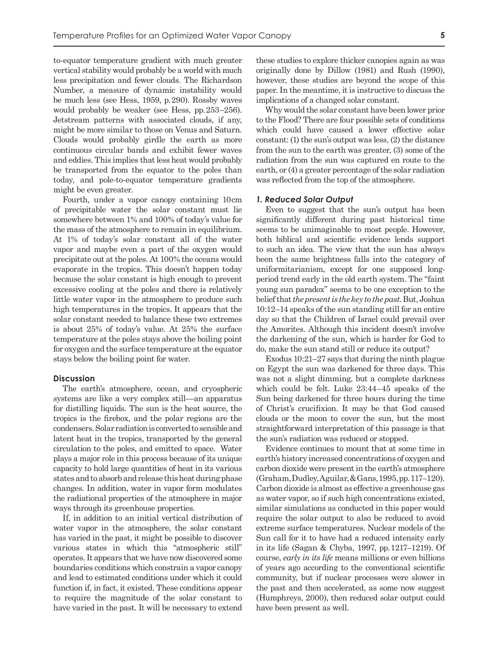to-equator temperature gradient with much greater vertical stability would probably be a world with much less precipitation and fewer clouds. The Richardson Number, a measure of dynamic instability would be much less (see Hess, 1959, p. 290). Rossby waves would probably be weaker (see Hess, pp. 253–256). Jetstream patterns with associated clouds, if any, might be more similar to those on Venus and Saturn. Clouds would probably girdle the earth as more continuous circular bands and exhibit fewer waves and eddies. This implies that less heat would probably be transported from the equator to the poles than today, and pole-to-equator temperature gradients might be even greater.

Fourth, under a vapor canopy containing 10 cm of precipitable water the solar constant must lie somewhere between 1% and 100% of today's value for the mass of the atmosphere to remain in equilibrium. At 1% of today's solar constant all of the water vapor and maybe even a part of the oxygen would precipitate out at the poles. At 100% the oceans would evaporate in the tropics. This doesn't happen today because the solar constant is high enough to prevent excessive cooling at the poles and there is relatively little water vapor in the atmosphere to produce such high temperatures in the tropics. It appears that the solar constant needed to balance these two extremes is about 25% of today's value. At 25% the surface temperature at the poles stays above the boiling point for oxygen and the surface temperature at the equator stays below the boiling point for water.

#### **Discussion**

The earth's atmosphere, ocean, and cryospheric systems are like a very complex still—an apparatus for distilling liquids. The sun is the heat source, the tropics is the firebox, and the polar regions are the condensers. Solar radiation is converted to sensible and latent heat in the tropics, transported by the general circulation to the poles, and emitted to space. Water plays a major role in this process because of its unique capacity to hold large quantities of heat in its various states and to absorb and release this heat during phase changes. In addition, water in vapor form modulates the radiational properties of the atmosphere in major ways through its greenhouse properties.

If, in addition to an initial vertical distribution of water vapor in the atmosphere, the solar constant has varied in the past, it might be possible to discover various states in which this "atmospheric still" operates. It appears that we have now discovered some boundaries conditions which constrain a vapor canopy and lead to estimated conditions under which it could function if, in fact, it existed. These conditions appear to require the magnitude of the solar constant to have varied in the past. It will be necessary to extend

these studies to explore thicker canopies again as was originally done by Dillow (1981) and Rush (1990), however, these studies are beyond the scope of this paper. In the meantime, it is instructive to discuss the implications of a changed solar constant.

Why would the solar constant have been lower prior to the Flood? There are four possible sets of conditions which could have caused a lower effective solar constant: (1) the sun's output was less, (2) the distance from the sun to the earth was greater, (3) some of the radiation from the sun was captured en route to the earth, or (4) a greater percentage of the solar radiation was reflected from the top of the atmosphere.

#### *1. Reduced Solar Output*

Even to suggest that the sun's output has been significantly different during past historical time seems to be unimaginable to most people. However, both biblical and scientific evidence lends support to such an idea. The view that the sun has always been the same brightness falls into the category of uniformitarianism, except for one supposed longperiod trend early in the old earth system. The "faint young sun paradox" seems to be one exception to the belief that *the present is the key to the past*. But, Joshua 10:12–14 speaks of the sun standing still for an entire day so that the Children of Israel could prevail over the Amorites. Although this incident doesn't involve the darkening of the sun, which is harder for God to do, make the sun stand still or reduce its output?

Exodus 10:21–27 says that during the ninth plague on Egypt the sun was darkened for three days. This was not a slight dimming, but a complete darkness which could be felt. Luke 23:44–45 speaks of the Sun being darkened for three hours during the time of Christ's crucifixion. It may be that God caused clouds or the moon to cover the sun, but the most straightforward interpretation of this passage is that the sun's radiation was reduced or stopped.

Evidence continues to mount that at some time in earth's history increased concentrations of oxygen and carbon dioxide were present in the earth's atmosphere (Graham, Dudley, Aguilar, & Gans, 1995, pp. 117–120). Carbon dioxide is almost as effective a greenhouse gas as water vapor, so if such high concentrations existed, similar simulations as conducted in this paper would require the solar output to also be reduced to avoid extreme surface temperatures. Nuclear models of the Sun call for it to have had a reduced intensity early in its life (Sagan & Chyba, 1997, pp. 1217–1219). Of course, *early in its life* means millions or even billions of years ago according to the conventional scientific community, but if nuclear processes were slower in the past and then accelerated, as some now suggest (Humphreys, 2000), then reduced solar output could have been present as well.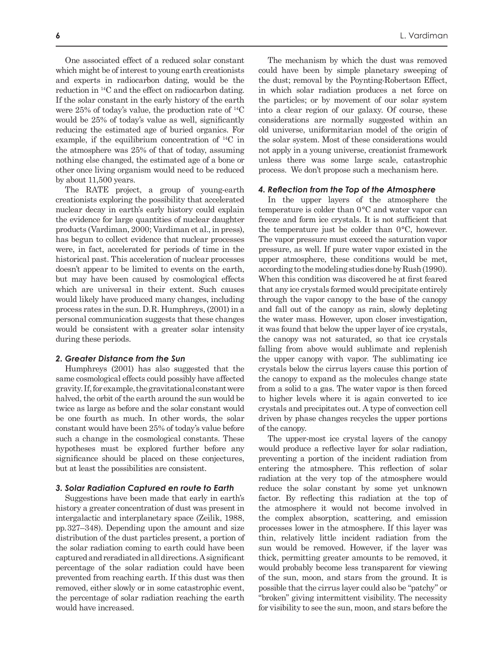One associated effect of a reduced solar constant which might be of interest to young earth creationists and experts in radiocarbon dating, would be the reduction in 14C and the effect on radiocarbon dating. If the solar constant in the early history of the earth were 25% of today's value, the production rate of 14C would be 25% of today's value as well, significantly reducing the estimated age of buried organics. For example, if the equilibrium concentration of 14C in the atmosphere was 25% of that of today, assuming nothing else changed, the estimated age of a bone or other once living organism would need to be reduced by about 11,500 years.

The RATE project, a group of young-earth creationists exploring the possibility that accelerated nuclear decay in earth's early history could explain the evidence for large quantities of nuclear daughter products (Vardiman, 2000; Vardiman et al., in press), has begun to collect evidence that nuclear processes were, in fact, accelerated for periods of time in the historical past. This acceleration of nuclear processes doesn't appear to be limited to events on the earth, but may have been caused by cosmological effects which are universal in their extent. Such causes would likely have produced many changes, including process rates in the sun. D. R. Humphreys, (2001) in a personal communication suggests that these changes would be consistent with a greater solar intensity during these periods.

# *2. Greater Distance from the Sun*

Humphreys (2001) has also suggested that the same cosmological effects could possibly have affected gravity. If, for example, the gravitational constant were halved, the orbit of the earth around the sun would be twice as large as before and the solar constant would be one fourth as much. In other words, the solar constant would have been 25% of today's value before such a change in the cosmological constants. These hypotheses must be explored further before any significance should be placed on these conjectures, but at least the possibilities are consistent.

#### *3. Solar Radiation Captured en route to Earth*

Suggestions have been made that early in earth's history a greater concentration of dust was present in intergalactic and interplanetary space (Zeilik, 1988, pp. 327–348). Depending upon the amount and size distribution of the dust particles present, a portion of the solar radiation coming to earth could have been captured and reradiated in all directions. A significant percentage of the solar radiation could have been prevented from reaching earth. If this dust was then removed, either slowly or in some catastrophic event, the percentage of solar radiation reaching the earth would have increased.

The mechanism by which the dust was removed could have been by simple planetary sweeping of the dust; removal by the Poynting-Robertson Effect, in which solar radiation produces a net force on the particles; or by movement of our solar system into a clear region of our galaxy. Of course, these considerations are normally suggested within an old universe, uniformitarian model of the origin of the solar system. Most of these considerations would not apply in a young universe, creationist framework unless there was some large scale, catastrophic process. We don't propose such a mechanism here.

## *4. Reflection from the Top of the Atmosphere*

In the upper layers of the atmosphere the temperature is colder than  $0^{\circ}$ C and water vapor can freeze and form ice crystals. It is not sufficient that the temperature just be colder than  $0^{\circ}$ C, however. The vapor pressure must exceed the saturation vapor pressure, as well. If pure water vapor existed in the upper atmosphere, these conditions would be met, according to the modeling studies done by Rush (1990). When this condition was discovered he at first feared that any ice crystals formed would precipitate entirely through the vapor canopy to the base of the canopy and fall out of the canopy as rain, slowly depleting the water mass. However, upon closer investigation, it was found that below the upper layer of ice crystals, the canopy was not saturated, so that ice crystals falling from above would sublimate and replenish the upper canopy with vapor. The sublimating ice crystals below the cirrus layers cause this portion of the canopy to expand as the molecules change state from a solid to a gas. The water vapor is then forced to higher levels where it is again converted to ice crystals and precipitates out. A type of convection cell driven by phase changes recycles the upper portions of the canopy.

The upper-most ice crystal layers of the canopy would produce a reflective layer for solar radiation, preventing a portion of the incident radiation from entering the atmosphere. This reflection of solar radiation at the very top of the atmosphere would reduce the solar constant by some yet unknown factor. By reflecting this radiation at the top of the atmosphere it would not become involved in the complex absorption, scattering, and emission processes lower in the atmosphere. If this layer was thin, relatively little incident radiation from the sun would be removed. However, if the layer was thick, permitting greater amounts to be removed, it would probably become less transparent for viewing of the sun, moon, and stars from the ground. It is possible that the cirrus layer could also be "patchy" or "broken" giving intermittent visibility. The necessity for visibility to see the sun, moon, and stars before the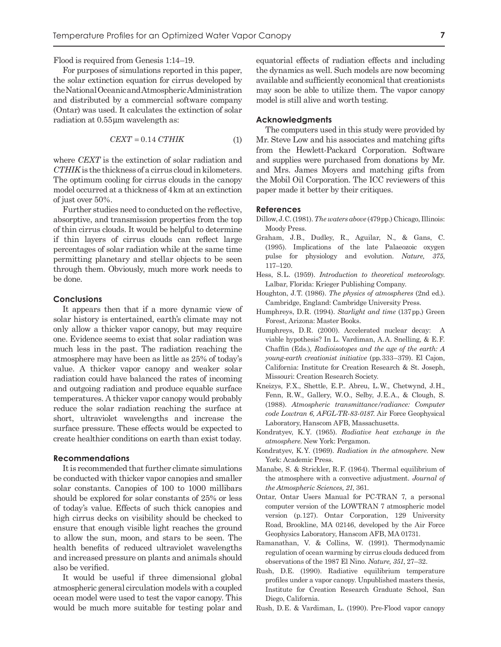Flood is required from Genesis 1:14–19.

For purposes of simulations reported in this paper, the solar extinction equation for cirrus developed by the National Oceanic and Atmospheric Administration and distributed by a commercial software company (Ontar) was used. It calculates the extinction of solar radiation at  $0.55 \mu m$  wavelength as:

$$
CEXT = 0.14 \, \text{CTHIK} \tag{1}
$$

where *CEXT* is the extinction of solar radiation and *CTHIK* is the thickness of a cirrus cloud in kilometers. The optimum cooling for cirrus clouds in the canopy model occurred at a thickness of 4 km at an extinction of just over 50%.

Further studies need to conducted on the reflective, absorptive, and transmission properties from the top of thin cirrus clouds. It would be helpful to determine if thin layers of cirrus clouds can reflect large percentages of solar radiation while at the same time permitting planetary and stellar objects to be seen through them. Obviously, much more work needs to be done.

#### **Conclusions**

It appears then that if a more dynamic view of solar history is entertained, earth's climate may not only allow a thicker vapor canopy, but may require one. Evidence seems to exist that solar radiation was much less in the past. The radiation reaching the atmosphere may have been as little as 25% of today's value. A thicker vapor canopy and weaker solar radiation could have balanced the rates of incoming and outgoing radiation and produce equable surface temperatures. A thicker vapor canopy would probably reduce the solar radiation reaching the surface at short, ultraviolet wavelengths and increase the surface pressure. These effects would be expected to create healthier conditions on earth than exist today.

# **Recommendations**

It is recommended that further climate simulations be conducted with thicker vapor canopies and smaller solar constants. Canopies of 100 to 1000 millibars should be explored for solar constants of 25% or less of today's value. Effects of such thick canopies and high cirrus decks on visibility should be checked to ensure that enough visible light reaches the ground to allow the sun, moon, and stars to be seen. The health benefits of reduced ultraviolet wavelengths and increased pressure on plants and animals should also be verified.

It would be useful if three dimensional global atmospheric general circulation models with a coupled ocean model were used to test the vapor canopy. This would be much more suitable for testing polar and equatorial effects of radiation effects and including the dynamics as well. Such models are now becoming available and sufficiently economical that creationists may soon be able to utilize them. The vapor canopy model is still alive and worth testing.

#### **Acknowledgments**

The computers used in this study were provided by Mr. Steve Low and his associates and matching gifts from the Hewlett-Packard Corporation. Software and supplies were purchased from donations by Mr. and Mrs. James Moyers and matching gifts from the Mobil Oil Corporation. The ICC reviewers of this paper made it better by their critiques.

## **References**

- Dillow, J. C. (1981). *The waters above* (479 pp.) Chicago, Illinois: Moody Press.
- Graham, J. B., Dudley, R., Aguilar, N., & Gans, C. (1995). Implications of the late Palaeozoic oxygen pulse for physiology and evolution. *Nature, 375*, 117–120.
- Hess, S.L. (1959). *Introduction to theoretical meteorology*. Lalbar, Florida: Krieger Publishing Company.
- Houghton, J. T. (1986). *The physics of atmospheres* (2nd ed.). Cambridge, England: Cambridge University Press.
- Humphreys, D. R. (1994). *Starlight and time* (137 pp.) Green Forest, Arizona: Master Books.
- Humphreys, D.R. (2000). Accelerated nuclear decay: A viable hypothesis? In L. Vardiman, A. A. Snelling, & E. F. Chaffin (Eds.), *Radioisotopes and the age of the earth: A young-earth creationist initiative* (pp. 333–379). El Cajon, California: Institute for Creation Research & St. Joseph, Missouri: Creation Research Society.
- Kneizys, F.X., Shettle, E.P.. Abreu, L.W., Chetwynd, J.H., Fenn, R.W., Gallery, W.O., Selby, J.E.A., & Clough, S. (1988). *Atmospheric transmittance/radiance: Computer code Lowtran 6, AFGL-TR-83-0187*. Air Force Geophysical Laboratory, Hanscom AFB, Massachusetts.
- Kondratyev, K. Y. (1965). *Radiative heat exchange in the atmosphere*. New York: Pergamon.
- Kondratyev, K. Y. (1969). *Radiation in the atmosphere*. New York: Academic Press.
- Manabe, S. & Strickler, R. F. (1964). Thermal equilibrium of the atmosphere with a convective adjustment. *Journal of the Atmospheric Sciences, 21*, 361.
- Ontar, Ontar Users Manual for PC-TRAN 7, a personal computer version of the LOWTRAN 7 atmospheric model version (p. 127). Ontar Corporation, 129 University Road, Brookline, MA 02146, developed by the Air Force Geophysics Laboratory, Hanscom AFB, MA 01731.
- Ramanathan, V. & Collins, W. (1991). Thermodynamic regulation of ocean warming by cirrus clouds deduced from observations of the 1987 El Nino. *Nature, 351*, 27–32.
- Rush, D.E. (1990). Radiative equilibrium temperature profiles under a vapor canopy. Unpublished masters thesis, Institute for Creation Research Graduate School, San Diego, California.
- Rush, D. E. & Vardiman, L. (1990). Pre-Flood vapor canopy